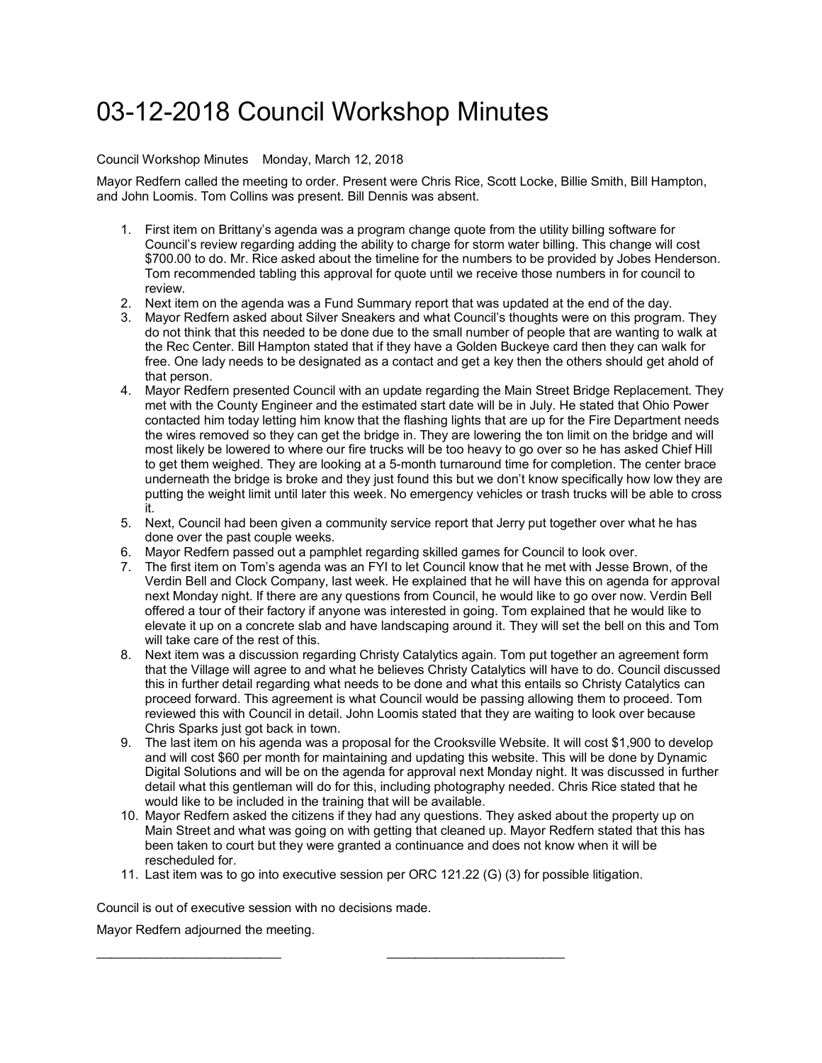## 03-12-2018 Council Workshop Minutes

## Council Workshop Minutes Monday, March 12, 2018

Mayor Redfern called the meeting to order. Present were Chris Rice, Scott Locke, Billie Smith, Bill Hampton, and John Loomis. Tom Collins was present. Bill Dennis was absent.

- 1. First item on Brittany's agenda was a program change quote from the utility billing software for Council's review regarding adding the ability to charge for storm water billing. This change will cost \$700.00 to do. Mr. Rice asked about the timeline for the numbers to be provided by Jobes Henderson. Tom recommended tabling this approval for quote until we receive those numbers in for council to review.
- 2. Next item on the agenda was a Fund Summary report that was updated at the end of the day.
- 3. Mayor Redfern asked about Silver Sneakers and what Council's thoughts were on this program. They do not think that this needed to be done due to the small number of people that are wanting to walk at the Rec Center. Bill Hampton stated that if they have a Golden Buckeye card then they can walk for free. One lady needs to be designated as a contact and get a key then the others should get ahold of that person.
- 4. Mayor Redfern presented Council with an update regarding the Main Street Bridge Replacement. They met with the County Engineer and the estimated start date will be in July. He stated that Ohio Power contacted him today letting him know that the flashing lights that are up for the Fire Department needs the wires removed so they can get the bridge in. They are lowering the ton limit on the bridge and will most likely be lowered to where our fire trucks will be too heavy to go over so he has asked Chief Hill to get them weighed. They are looking at a 5-month turnaround time for completion. The center brace underneath the bridge is broke and they just found this but we don't know specifically how low they are putting the weight limit until later this week. No emergency vehicles or trash trucks will be able to cross it.
- 5. Next, Council had been given a community service report that Jerry put together over what he has done over the past couple weeks.
- 6. Mayor Redfern passed out a pamphlet regarding skilled games for Council to look over.
- 7. The first item on Tom's agenda was an FYI to let Council know that he met with Jesse Brown, of the Verdin Bell and Clock Company, last week. He explained that he will have this on agenda for approval next Monday night. If there are any questions from Council, he would like to go over now. Verdin Bell offered a tour of their factory if anyone was interested in going. Tom explained that he would like to elevate it up on a concrete slab and have landscaping around it. They will set the bell on this and Tom will take care of the rest of this.
- 8. Next item was a discussion regarding Christy Catalytics again. Tom put together an agreement form that the Village will agree to and what he believes Christy Catalytics will have to do. Council discussed this in further detail regarding what needs to be done and what this entails so Christy Catalytics can proceed forward. This agreement is what Council would be passing allowing them to proceed. Tom reviewed this with Council in detail. John Loomis stated that they are waiting to look over because Chris Sparks just got back in town.
- 9. The last item on his agenda was a proposal for the Crooksville Website. It will cost \$1,900 to develop and will cost \$60 per month for maintaining and updating this website. This will be done by Dynamic Digital Solutions and will be on the agenda for approval next Monday night. It was discussed in further detail what this gentleman will do for this, including photography needed. Chris Rice stated that he would like to be included in the training that will be available.
- 10. Mayor Redfern asked the citizens if they had any questions. They asked about the property up on Main Street and what was going on with getting that cleaned up. Mayor Redfern stated that this has been taken to court but they were granted a continuance and does not know when it will be rescheduled for.
- 11. Last item was to go into executive session per ORC 121.22 (G) (3) for possible litigation.

\_\_\_\_\_\_\_\_\_\_\_\_\_\_\_\_\_\_\_\_\_\_\_\_\_\_ \_\_\_\_\_\_\_\_\_\_\_\_\_\_\_\_\_\_\_\_\_\_\_\_\_

Council is out of executive session with no decisions made.

Mayor Redfern adjourned the meeting.